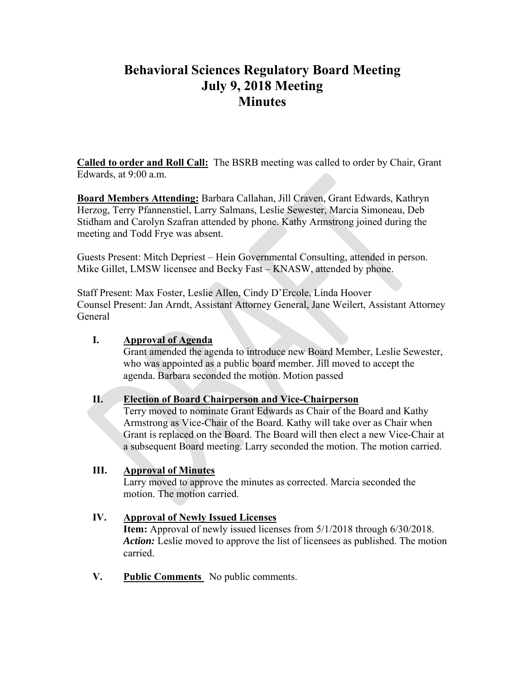# **Behavioral Sciences Regulatory Board Meeting July 9, 2018 Meeting Minutes**

**Called to order and Roll Call:** The BSRB meeting was called to order by Chair, Grant Edwards, at 9:00 a.m.

**Board Members Attending:** Barbara Callahan, Jill Craven, Grant Edwards, Kathryn Herzog, Terry Pfannenstiel, Larry Salmans, Leslie Sewester, Marcia Simoneau, Deb Stidham and Carolyn Szafran attended by phone. Kathy Armstrong joined during the meeting and Todd Frye was absent.

Guests Present: Mitch Depriest – Hein Governmental Consulting, attended in person. Mike Gillet, LMSW licensee and Becky Fast – KNASW, attended by phone.

Staff Present: Max Foster, Leslie Allen, Cindy D'Ercole, Linda Hoover Counsel Present: Jan Arndt, Assistant Attorney General, Jane Weilert, Assistant Attorney General

## **I. Approval of Agenda**

Grant amended the agenda to introduce new Board Member, Leslie Sewester, who was appointed as a public board member. Jill moved to accept the agenda. Barbara seconded the motion. Motion passed

#### **II. Election of Board Chairperson and Vice-Chairperson**

Terry moved to nominate Grant Edwards as Chair of the Board and Kathy Armstrong as Vice-Chair of the Board. Kathy will take over as Chair when Grant is replaced on the Board. The Board will then elect a new Vice-Chair at a subsequent Board meeting. Larry seconded the motion. The motion carried.

#### **III. Approval of Minutes**

Larry moved to approve the minutes as corrected. Marcia seconded the motion. The motion carried.

#### **IV. Approval of Newly Issued Licenses**

**Item:** Approval of newly issued licenses from 5/1/2018 through 6/30/2018. *Action:* Leslie moved to approve the list of licensees as published. The motion carried.

**V. Public Comments** No public comments.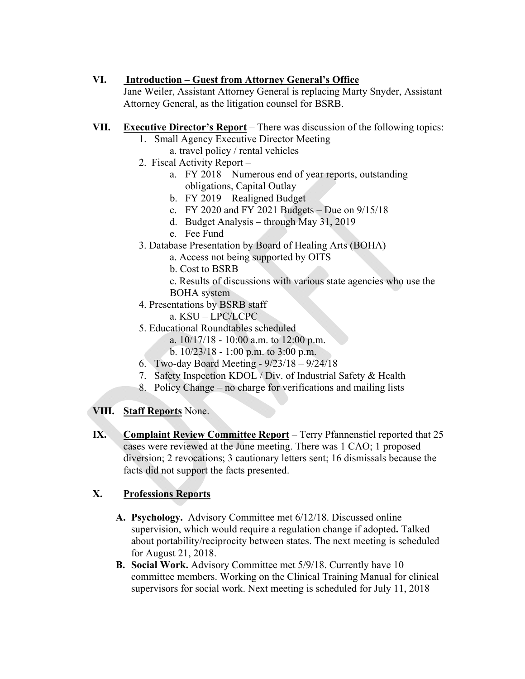## **VI. Introduction – Guest from Attorney General's Office**

Jane Weiler, Assistant Attorney General is replacing Marty Snyder, Assistant Attorney General, as the litigation counsel for BSRB.

- **VII. Executive Director's Report** There was discussion of the following topics:
	- 1. Small Agency Executive Director Meeting
	- a. travel policy / rental vehicles
	- 2. Fiscal Activity Report
		- a. FY 2018 Numerous end of year reports, outstanding obligations, Capital Outlay
		- b. FY 2019 Realigned Budget
		- c. FY 2020 and FY 2021 Budgets Due on 9/15/18
		- d. Budget Analysis through May 31, 2019
		- e. Fee Fund
	- 3. Database Presentation by Board of Healing Arts (BOHA)
		- a. Access not being supported by OITS
		- b. Cost to BSRB
		- c. Results of discussions with various state agencies who use the BOHA system
	- 4. Presentations by BSRB staff
		- a. KSU LPC/LCPC
	- 5. Educational Roundtables scheduled
		- a.  $10/17/18 10:00$  a.m. to 12:00 p.m.
		- b. 10/23/18 1:00 p.m. to 3:00 p.m.
	- 6. Two-day Board Meeting 9/23/18 9/24/18
	- 7. Safety Inspection KDOL / Div. of Industrial Safety & Health
	- 8. Policy Change no charge for verifications and mailing lists

#### **VIII. Staff Reports** None.

**IX. Complaint Review Committee Report** – Terry Pfannenstiel reported that 25 cases were reviewed at the June meeting. There was 1 CAO; 1 proposed diversion; 2 revocations; 3 cautionary letters sent; 16 dismissals because the facts did not support the facts presented.

# **X. Professions Reports**

- **A. Psychology.** Advisory Committee met 6/12/18. Discussed online supervision, which would require a regulation change if adopted**.** Talked about portability/reciprocity between states. The next meeting is scheduled for August 21, 2018.
- **B. Social Work.** Advisory Committee met 5/9/18. Currently have 10 committee members. Working on the Clinical Training Manual for clinical supervisors for social work. Next meeting is scheduled for July 11, 2018